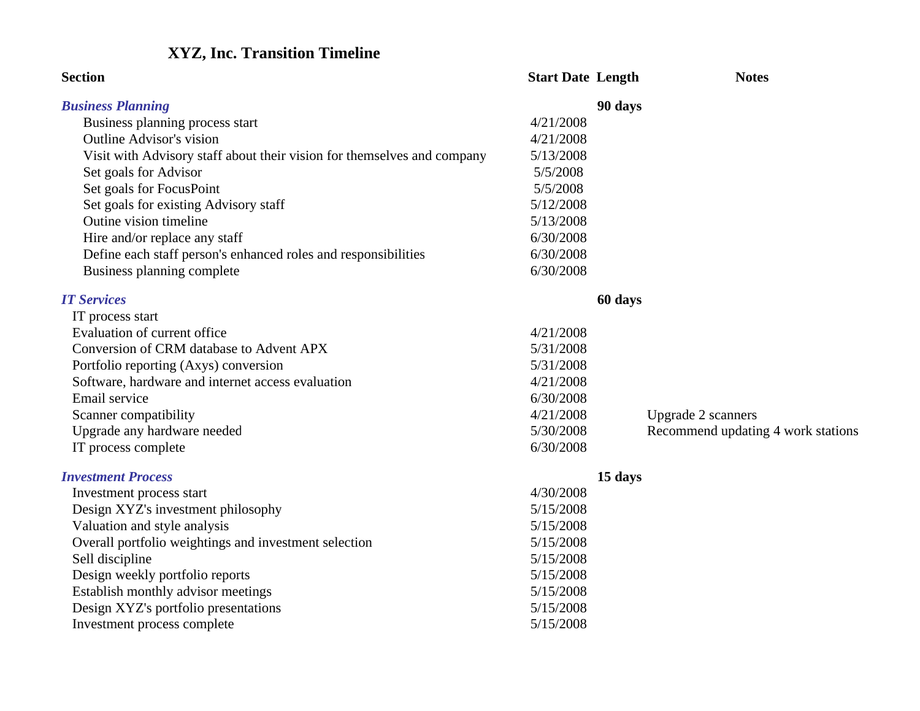# **XYZ, Inc. Transition Timeline**

| <b>Section</b>                                                          | <b>Start Date Length</b> |         | <b>Notes</b>                       |
|-------------------------------------------------------------------------|--------------------------|---------|------------------------------------|
| <b>Business Planning</b>                                                |                          | 90 days |                                    |
| Business planning process start                                         | 4/21/2008                |         |                                    |
| <b>Outline Advisor's vision</b>                                         | 4/21/2008                |         |                                    |
| Visit with Advisory staff about their vision for themselves and company | 5/13/2008                |         |                                    |
| Set goals for Advisor                                                   | 5/5/2008                 |         |                                    |
| Set goals for FocusPoint                                                | 5/5/2008                 |         |                                    |
| Set goals for existing Advisory staff                                   | 5/12/2008                |         |                                    |
| Outine vision timeline                                                  | 5/13/2008                |         |                                    |
| Hire and/or replace any staff                                           | 6/30/2008                |         |                                    |
| Define each staff person's enhanced roles and responsibilities          | 6/30/2008                |         |                                    |
| Business planning complete                                              | 6/30/2008                |         |                                    |
| <b>IT Services</b>                                                      |                          | 60 days |                                    |
| IT process start                                                        |                          |         |                                    |
| Evaluation of current office                                            | 4/21/2008                |         |                                    |
| Conversion of CRM database to Advent APX                                | 5/31/2008                |         |                                    |
| Portfolio reporting (Axys) conversion                                   | 5/31/2008                |         |                                    |
| Software, hardware and internet access evaluation                       | 4/21/2008                |         |                                    |
| Email service                                                           | 6/30/2008                |         |                                    |
| Scanner compatibility                                                   | 4/21/2008                |         | <b>Upgrade 2 scanners</b>          |
| Upgrade any hardware needed                                             | 5/30/2008                |         | Recommend updating 4 work stations |
| IT process complete                                                     | 6/30/2008                |         |                                    |
| <b>Investment Process</b>                                               |                          | 15 days |                                    |
| Investment process start                                                | 4/30/2008                |         |                                    |
| Design XYZ's investment philosophy                                      | 5/15/2008                |         |                                    |
| Valuation and style analysis                                            | 5/15/2008                |         |                                    |
| Overall portfolio weightings and investment selection                   | 5/15/2008                |         |                                    |
| Sell discipline                                                         | 5/15/2008                |         |                                    |
| Design weekly portfolio reports                                         | 5/15/2008                |         |                                    |
| Establish monthly advisor meetings                                      | 5/15/2008                |         |                                    |
| Design XYZ's portfolio presentations                                    | 5/15/2008                |         |                                    |
| Investment process complete                                             | 5/15/2008                |         |                                    |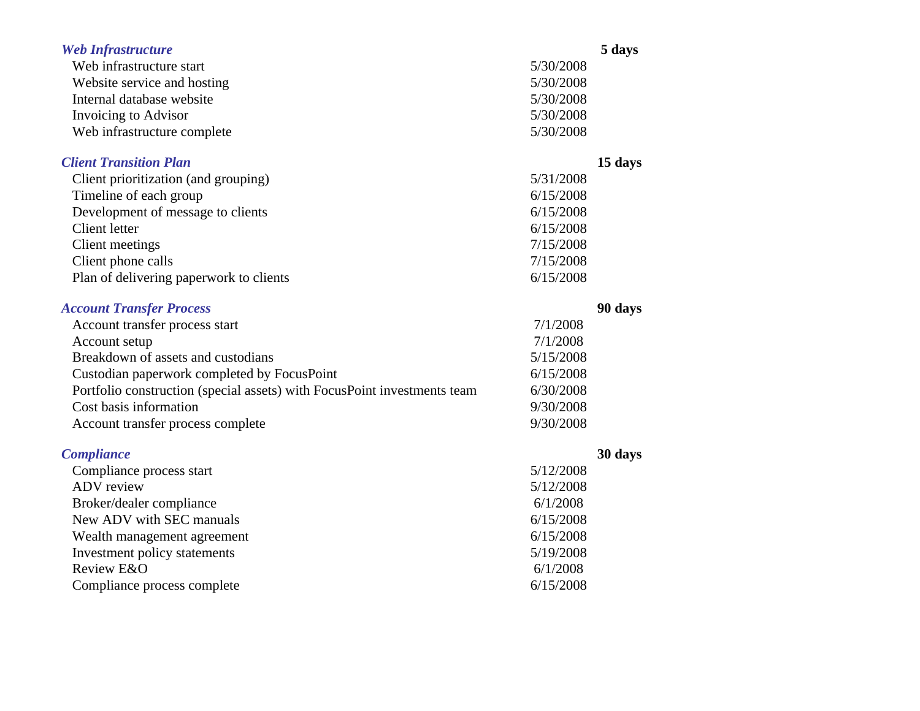| <b>Web Infrastructure</b><br>Web infrastructure start<br>Website service and hosting<br>Internal database website<br>Invoicing to Advisor<br>Web infrastructure complete | 5/30/2008<br>5/30/2008<br>5/30/2008<br>5/30/2008<br>5/30/2008 | 5 days  |
|--------------------------------------------------------------------------------------------------------------------------------------------------------------------------|---------------------------------------------------------------|---------|
| <b>Client Transition Plan</b><br>Client prioritization (and grouping)                                                                                                    | 5/31/2008                                                     | 15 days |
| Timeline of each group                                                                                                                                                   | 6/15/2008                                                     |         |
| Development of message to clients                                                                                                                                        | 6/15/2008                                                     |         |
| Client letter                                                                                                                                                            | 6/15/2008                                                     |         |
| <b>Client</b> meetings                                                                                                                                                   | 7/15/2008                                                     |         |
| Client phone calls                                                                                                                                                       | 7/15/2008                                                     |         |
| Plan of delivering paperwork to clients                                                                                                                                  | 6/15/2008                                                     |         |
| <b>Account Transfer Process</b>                                                                                                                                          |                                                               | 90 days |
| Account transfer process start                                                                                                                                           | 7/1/2008                                                      |         |
| Account setup                                                                                                                                                            | 7/1/2008                                                      |         |
| Breakdown of assets and custodians                                                                                                                                       | 5/15/2008                                                     |         |
| Custodian paperwork completed by FocusPoint                                                                                                                              | 6/15/2008                                                     |         |
| Portfolio construction (special assets) with FocusPoint investments team                                                                                                 | 6/30/2008                                                     |         |
| Cost basis information                                                                                                                                                   | 9/30/2008                                                     |         |
| Account transfer process complete                                                                                                                                        | 9/30/2008                                                     |         |
| <b>Compliance</b>                                                                                                                                                        |                                                               | 30 days |
| Compliance process start                                                                                                                                                 | 5/12/2008                                                     |         |
| <b>ADV</b> review                                                                                                                                                        | 5/12/2008                                                     |         |
| Broker/dealer compliance                                                                                                                                                 | 6/1/2008                                                      |         |
| New ADV with SEC manuals                                                                                                                                                 | 6/15/2008                                                     |         |
| Wealth management agreement                                                                                                                                              | 6/15/2008                                                     |         |
| Investment policy statements                                                                                                                                             | 5/19/2008                                                     |         |
| Review E&O                                                                                                                                                               | 6/1/2008                                                      |         |
| Compliance process complete                                                                                                                                              | 6/15/2008                                                     |         |